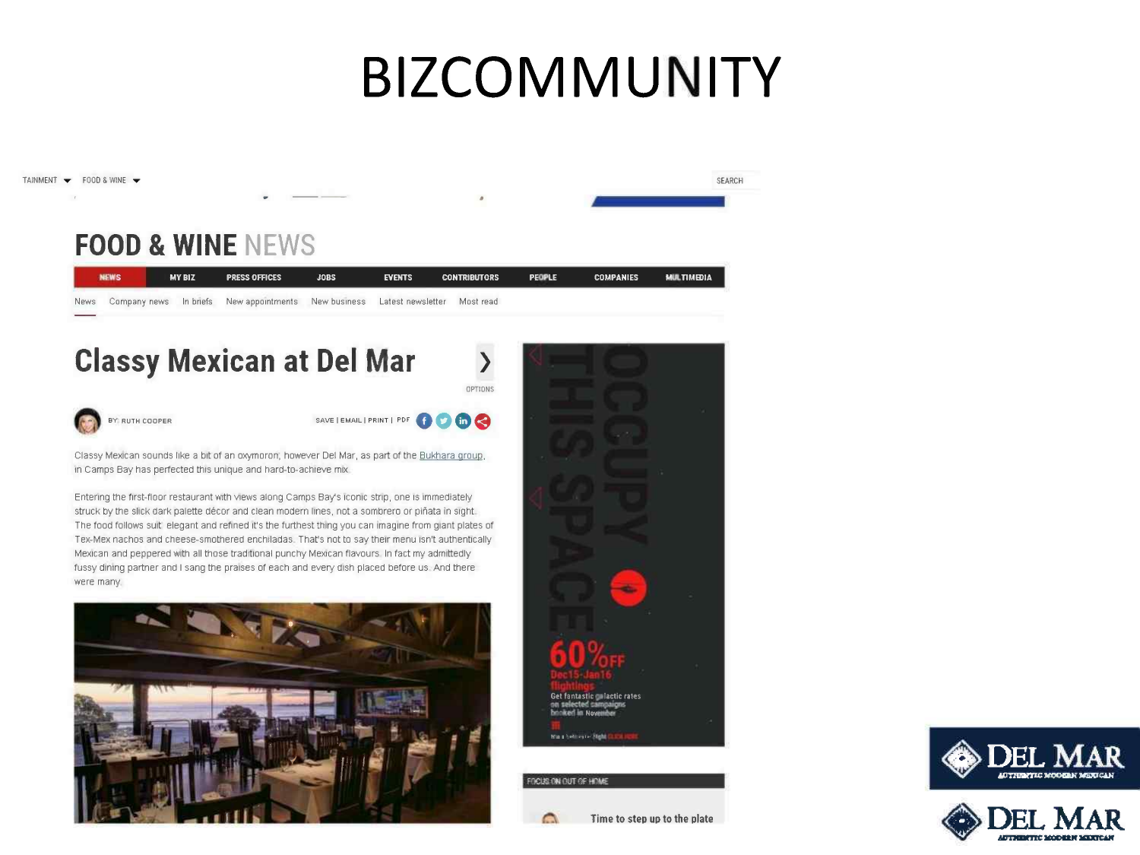# **BIZCOMMUNITY**







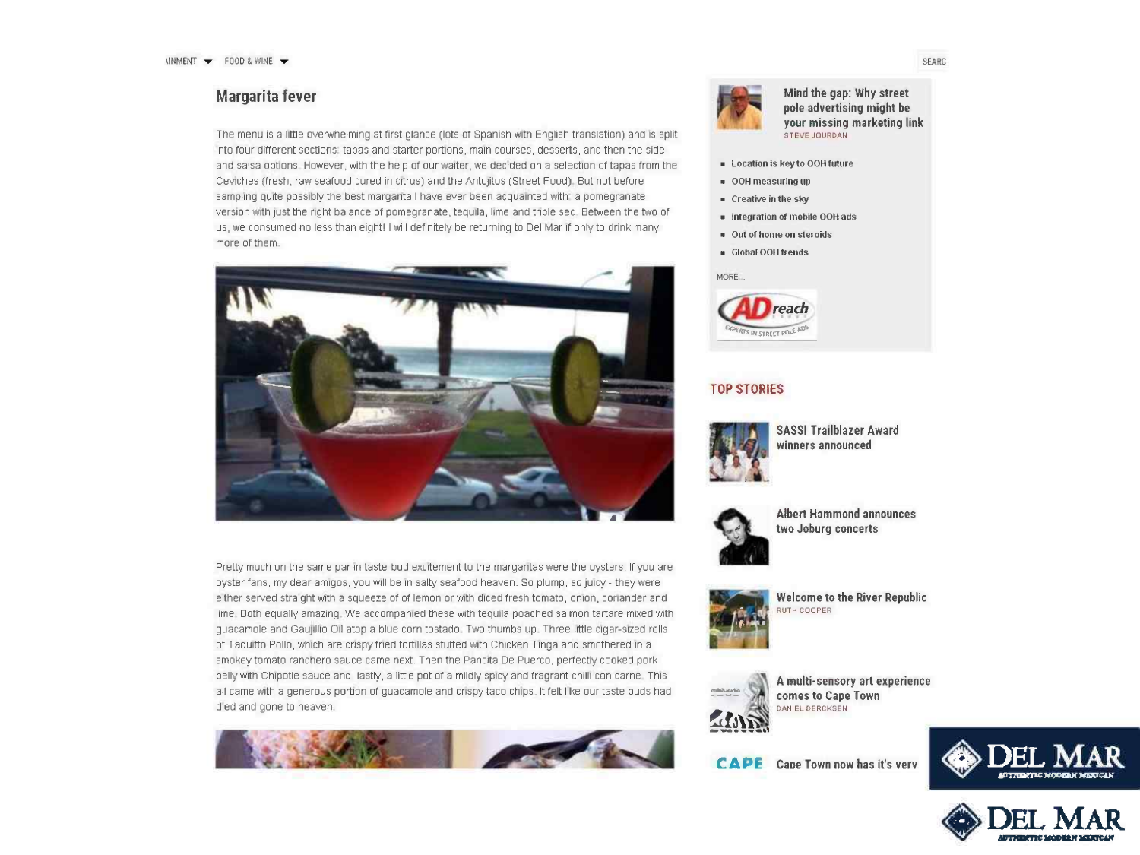### Margarita fever

The menu is a little overwhelming at first glance (lots of Spanish with English translation) and IS split Into four different sections; tapas and starter portions, main courses, desserts, and then the side and salsa options However, with the help of our walter, we decided on a selection of tapas from the cevicnes (fresh, raw seafood cured in citrus) and the Antojtos (Street Food) But not before sampling quite possibly the best margarita I have ever been acquainted with a pomegranate version with Just the right balance of pomegranate, tequua. lime and triple sec Between the two of us, we consumed no less than eight! I will definitely be returning to Del Mar If only to drink many more of them



Pretty much on the same par in taste-bud excitement to the margaritas were the oysters. If you are oyster fans, my dear amigos, you will be in salty seafood heaven. So plump, so juicy - they were either served straight with a squeeze of of lemon or with diced fresh tomato, onion, coriander and lime Both equally amazing We accompamed these with tequua poached salmon tartare mixed with guacamole and Gaujillio Oil atop a blue corn tostado. Two thumbs up Three little cigar-sized rolls of Taquitto Pollo, which are crispy fried tortillas stuffed with Chicken Tinga and smothered in a smokey tomato ranchero sauce came next. Then the Panelta De Puerco. perfectly cooked pork belly with Chipotle sauce and, lastly, a little pot of a mildly spicy and fragrant chilli con carne This all came with a generous portion of guacamole and crispy taco chips. It felt like our taste buds had died and gone to heaven. **We are also also and also and also and also and also and also and also and also and also and also and also and also and also and also and also and also and also and also and also and also and also** 





#### Mind the gap: Why street pole advertising might be **your missing marketing link**<br>STEVE JOURDAN

- **· Location is key to OOH future**
- **OOH measuring til)**
- Creative in the sky
- Integration of mobile OOH ads
- **Out of home on steroids**
- Global OOH trends



#### TOP STORIES



SASSI Trailblazer Award winners announced



Albert Hammond announces two Joburg concerts



Welcome to the River Republic<br>RUTH COOPER



A multi-sensory art experience comes to Cape Town

**CAPE** Cape Town now has it's verv





SEARC